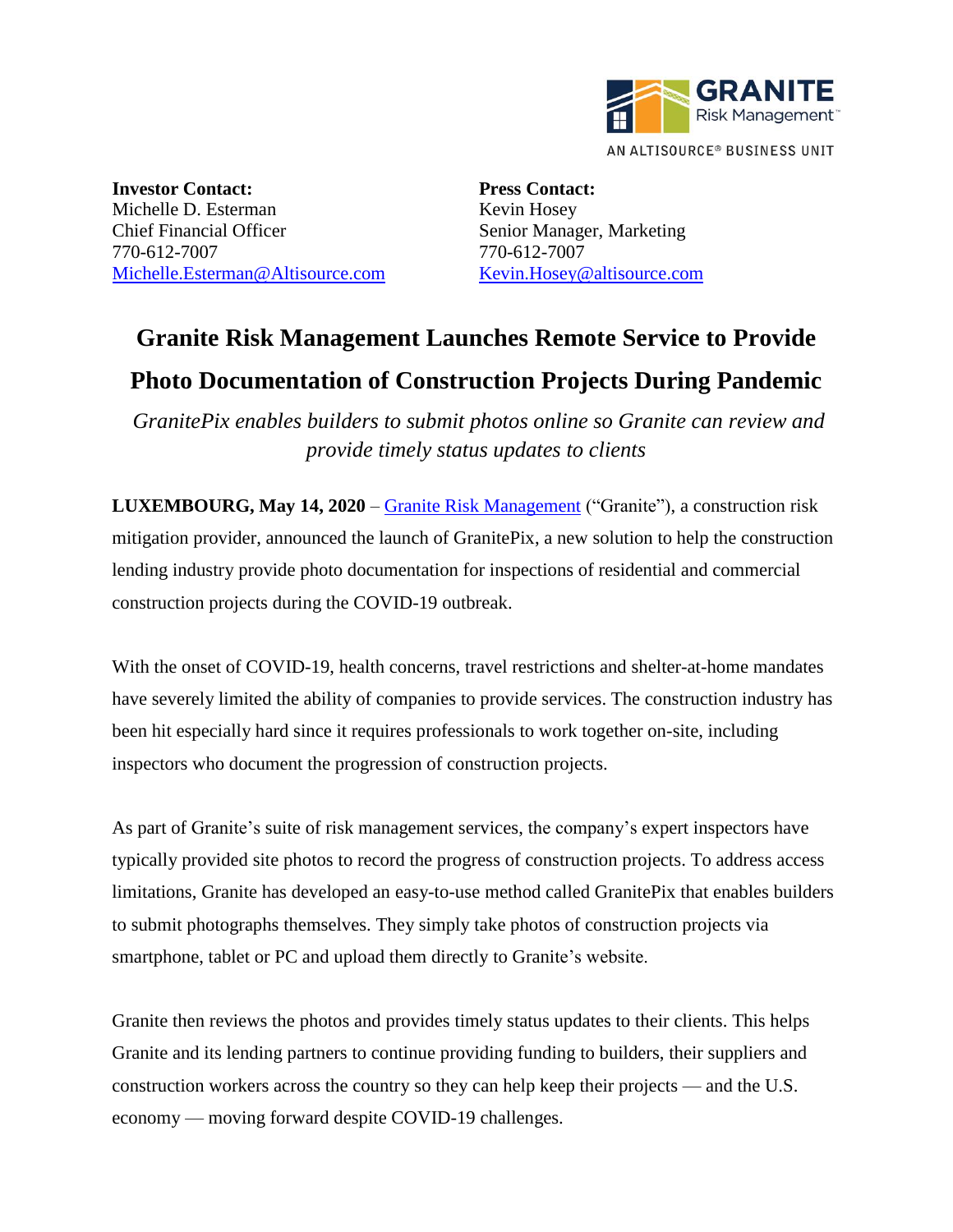

AN ALTISOURCE® BUSINESS UNIT

**Investor Contact:** Michelle D. Esterman Chief Financial Officer 770-612-7007 [Michelle.Esterman@Altisource.com](mailto:Michelle.Esterman@Altisource.com)

**Press Contact:** Kevin Hosey Senior Manager, Marketing 770-612-7007 [Kevin.Hosey@altisource.com](mailto:Kevin.Hosey@altisource.com)

## **Granite Risk Management Launches Remote Service to Provide Photo Documentation of Construction Projects During Pandemic**

*GranitePix enables builders to submit photos online so Granite can review and provide timely status updates to clients*

**LUXEMBOURG, May 14, 2020** – [Granite Risk Management](http://www.granite-companies.com/) ("Granite"), a construction risk mitigation provider, announced the launch of GranitePix, a new solution to help the construction lending industry provide photo documentation for inspections of residential and commercial construction projects during the COVID-19 outbreak.

With the onset of COVID-19, health concerns, travel restrictions and shelter-at-home mandates have severely limited the ability of companies to provide services. The construction industry has been hit especially hard since it requires professionals to work together on-site, including inspectors who document the progression of construction projects.

As part of Granite's suite of risk management services, the company's expert inspectors have typically provided site photos to record the progress of construction projects. To address access limitations, Granite has developed an easy-to-use method called GranitePix that enables builders to submit photographs themselves. They simply take photos of construction projects via smartphone, tablet or PC and upload them directly to Granite's website.

Granite then reviews the photos and provides timely status updates to their clients. This helps Granite and its lending partners to continue providing funding to builders, their suppliers and construction workers across the country so they can help keep their projects — and the U.S. economy — moving forward despite COVID-19 challenges.